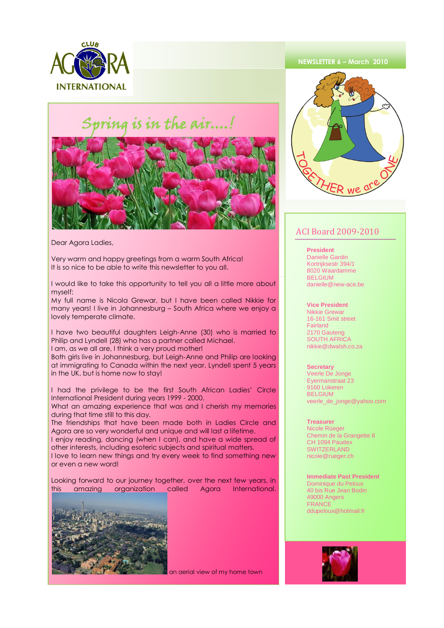

## $\dot{}$  ing is in the air....!



Dear Agora Ladies,

Very warm and happy greetings from a warm South Africa! It is so nice to be able to write this newsletter to you all.

I would like to take this opportunity to tell you all a little more about myself:

My full name is Nicola Grewar, but I have been called Nikkie for many years! I live in Johannesburg – South Africa where we enjoy a lovely temperate climate.

I have two beautiful daughters Leigh-Anne (30) who is married to Philip and Lyndell (28) who has a partner called Michael. I am, as we all are, I think a very proud mother!

Both girls live in Johannesburg, but Leigh-Anne and Philip are looking at immigrating to Canada within the next year. Lyndell spent 5 years in the UK, but is home now to stay!

I had the privilege to be the first South African Ladies' Circle International President during years 1999 - 2000.

What an amazing experience that was and I cherish my memories during that time still to this day.

The friendships that have been made both in Ladies Circle and Agora are so very wonderful and unique and will last a lifetime.

I enjoy reading, dancing (when I can), and have a wide spread of other interests, including esoteric subjects and spiritual matters.

I love to learn new things and try every week to find something new or even a new word!

Looking forward to our journey together, over the next few years, in this amazing organization called Agora International.



an aerial view of my home town

### **NEWSLETTER 6 – March 2010**



## ACI Board 2009-2010

**President** 

Danielle Gardin Kortrijksestr 394/1 8020 Waardamme BELGIUM danielle@new-ace.be

#### **Vice President**

Nikkie Grewar 16-161 Smit street **Fairland** 2170 Gauteng SOUTH AFRICA nikkie@dwalsh.co.za

#### **Secretary**

Veerle De Jonge Eyermanstraat 23 9160 Lokeren BELGIUM veerle\_de\_jonge@yahoo.com

#### **Treasurer**

Nicole Rüeger Chemin de la Grangette 8 CH 1094 Paudex **SWITZERLAND** nicole@rueger.ch

#### **Immediate Past President** Dominique du Peloux 40 bis Rue Jean Bodin 49000 Angers

**FRANCE** ddupeloux@hotmail.fr

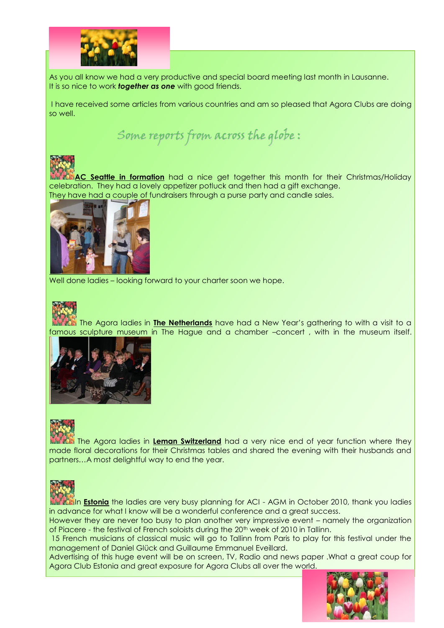

As you all know we had a very productive and special board meeting last month in Lausanne. It is so nice to work *together as one* with good friends.

I have received some articles from various countries and am so pleased that Agora Clubs are doing so well.

Some reports from across the globe :



**AC Seattle in formation** had a nice get together this month for their Christmas/Holiday celebration. They had a lovely appetizer potluck and then had a gift exchange. They have had a couple of fundraisers through a purse party and candle sales.



Well done ladies – looking forward to your charter soon we hope.



The Agora ladies in **The Netherlands** have had a New Year's gathering to with a visit to a famous sculpture museum in The Hague and a chamber –concert , with in the museum itself.





The Agora ladies in **Leman Switzerland** had a very nice end of year function where they made floral decorations for their Christmas tables and shared the evening with their husbands and partners…A most delightful way to end the year.



In **Estonia** the ladies are very busy planning for ACI - AGM in October 2010, thank you ladies in advance for what I know will be a wonderful conference and a great success.

However they are never too busy to plan another very impressive event – namely the organization of Piacere - the festival of French soloists during the 20th week of 2010 in Tallinn.

15 French musicians of classical music will go to Tallinn from Paris to play for this festival under the management of Daniel Glück and Guillaume Emmanuel Eveillard.

Advertising of this huge event will be on screen, TV, Radio and news paper .What a great coup for Agora Club Estonia and great exposure for Agora Clubs all over the world.

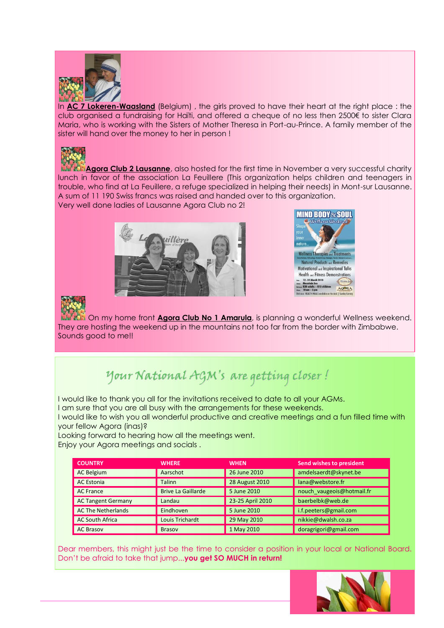

In **AC 7 Lokeren-Waasland** (Belgium) , the girls proved to have their heart at the right place : the club organised a fundraising for Haïti, and offered a cheque of no less then 2500€ to sister Clara Maria, who is working with the Sisters of Mother Theresa in Port-au-Prince. A family member of the sister will hand over the money to her in person !



**Agora Club 2 Lausanne**, also hosted for the first time in November a very successful charity lunch in favor of the association La Feuillere (This organization helps children and teenagers in trouble, who find at La Feuillere, a refuge specialized in helping their needs) in Mont-sur Lausanne. A sum of 11 190 Swiss francs was raised and handed over to this organization. Very well done ladies of Lausanne Agora Club no 2!







Į

On my home front **Agora Club No 1 Amarula**, is planning a wonderful Wellness weekend. They are hosting the weekend up in the mountains not too far from the border with Zimbabwe. Sounds good to me!!

# Your National AGM's are getting closer !

I would like to thank you all for the invitations received to date to all your AGMs.

I am sure that you are all busy with the arrangements for these weekends.

I would like to wish you all wonderful productive and creative meetings and a fun filled time with your fellow Agora (inas)?

Looking forward to hearing how all the meetings went. Enjoy your Agora meetings and socials .

| <b>COUNTRY</b>            | <b>WHERE</b>              | <b>WHEN</b>           | Send wishes to president  |
|---------------------------|---------------------------|-----------------------|---------------------------|
| <b>AC Belgium</b>         | Aarschot                  | 26 June 2010          | amdelsaerdt@skynet.be     |
| <b>AC Estonia</b>         | <b>Talinn</b>             | <b>28 August 2010</b> | lana@webstore.fr          |
| <b>AC France</b>          | <b>Brive La Gaillarde</b> | 5 June 2010           | nouch vaugeois@hotmail.fr |
| <b>AC Tangent Germany</b> | Landau                    | 23-25 April 2010      | baerbelbk@web.de          |
| <b>AC The Netherlands</b> | Eindhoven                 | 5 June 2010           | i.f.peeters@gmail.com     |
| <b>AC South Africa</b>    | <b>Louis Trichardt</b>    | 29 May 2010           | nikkie@dwalsh.co.za       |
| <b>AC Brasov</b>          | <b>Brasov</b>             | 1 May 2010            | doragrigori@gmail.com     |

Dear members, this might just be the time to consider a position in your local or National Board. Don't be afraid to take that jump...**you get SO MUCH in return!**